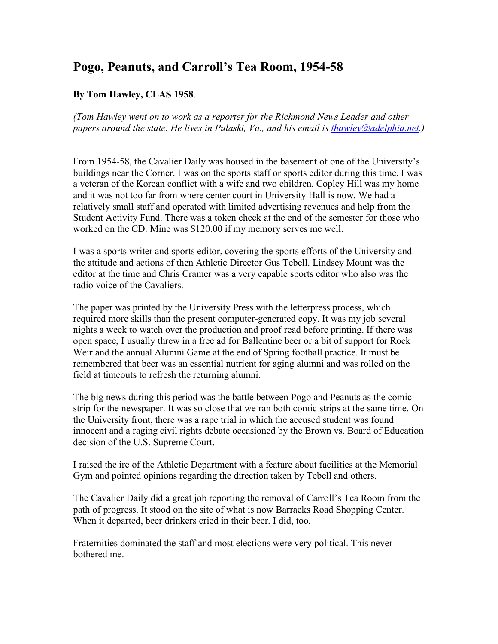## **Pogo, Peanuts, and Carroll's Tea Room, 1954-58**

## **By Tom Hawley, CLAS 1958**.

*(Tom Hawley went on to work as a reporter for the Richmond News Leader and other papers around the state. He lives in Pulaski, Va., and his email is [thawley@adelphia.net.](mailto:thawley@adelphia.net))*

From 1954-58, the Cavalier Daily was housed in the basement of one of the University's buildings near the Corner. I was on the sports staff or sports editor during this time. I was a veteran of the Korean conflict with a wife and two children. Copley Hill was my home and it was not too far from where center court in University Hall is now. We had a relatively small staff and operated with limited advertising revenues and help from the Student Activity Fund. There was a token check at the end of the semester for those who worked on the CD. Mine was \$120.00 if my memory serves me well.

I was a sports writer and sports editor, covering the sports efforts of the University and the attitude and actions of then Athletic Director Gus Tebell. Lindsey Mount was the editor at the time and Chris Cramer was a very capable sports editor who also was the radio voice of the Cavaliers.

The paper was printed by the University Press with the letterpress process, which required more skills than the present computer-generated copy. It was my job several nights a week to watch over the production and proof read before printing. If there was open space, I usually threw in a free ad for Ballentine beer or a bit of support for Rock Weir and the annual Alumni Game at the end of Spring football practice. It must be remembered that beer was an essential nutrient for aging alumni and was rolled on the field at timeouts to refresh the returning alumni.

The big news during this period was the battle between Pogo and Peanuts as the comic strip for the newspaper. It was so close that we ran both comic strips at the same time. On the University front, there was a rape trial in which the accused student was found innocent and a raging civil rights debate occasioned by the Brown vs. Board of Education decision of the U.S. Supreme Court.

I raised the ire of the Athletic Department with a feature about facilities at the Memorial Gym and pointed opinions regarding the direction taken by Tebell and others.

The Cavalier Daily did a great job reporting the removal of Carroll's Tea Room from the path of progress. It stood on the site of what is now Barracks Road Shopping Center. When it departed, beer drinkers cried in their beer. I did, too.

Fraternities dominated the staff and most elections were very political. This never bothered me.